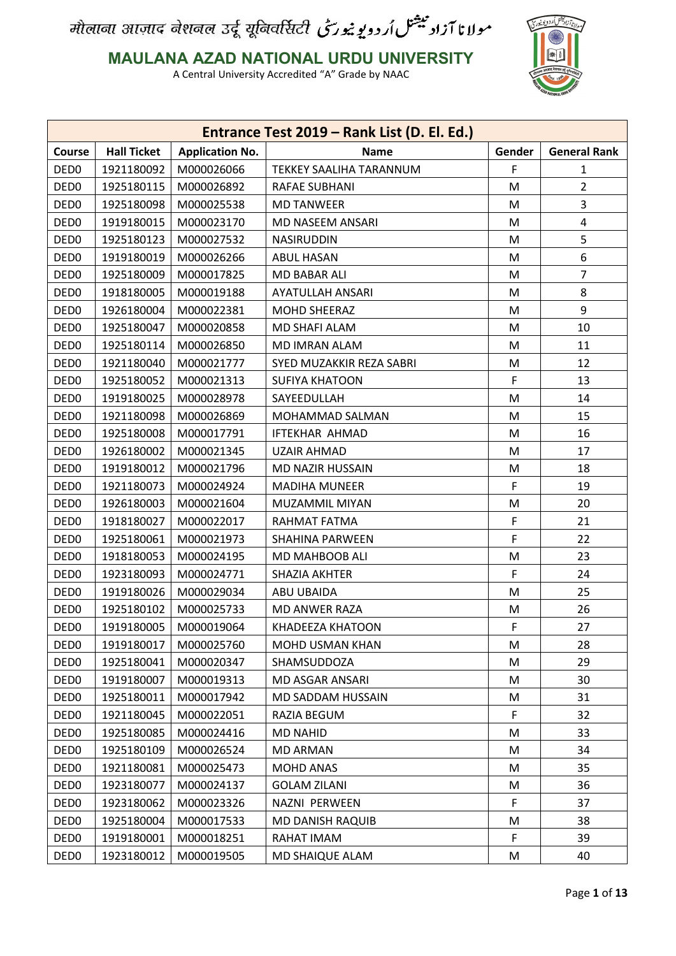# .<br>*نا آزادیشتل اُد* د یویندری

#### **MAULANA AZAD NATIONAL URDU UNIVERSITY**

|                  | Entrance Test 2019 - Rank List (D. El. Ed.) |                        |                          |        |                     |  |  |
|------------------|---------------------------------------------|------------------------|--------------------------|--------|---------------------|--|--|
| <b>Course</b>    | <b>Hall Ticket</b>                          | <b>Application No.</b> | <b>Name</b>              | Gender | <b>General Rank</b> |  |  |
| DED <sub>0</sub> | 1921180092                                  | M000026066             | TEKKEY SAALIHA TARANNUM  | F      | 1                   |  |  |
| DED <sub>0</sub> | 1925180115                                  | M000026892             | RAFAE SUBHANI            | M      | $\overline{2}$      |  |  |
| DED <sub>0</sub> | 1925180098                                  | M000025538             | <b>MD TANWEER</b>        | M      | 3                   |  |  |
| DED <sub>0</sub> | 1919180015                                  | M000023170             | MD NASEEM ANSARI         | M      | 4                   |  |  |
| DED <sub>0</sub> | 1925180123                                  | M000027532             | <b>NASIRUDDIN</b>        | M      | 5                   |  |  |
| DED <sub>0</sub> | 1919180019                                  | M000026266             | ABUL HASAN               | M      | 6                   |  |  |
| DED <sub>0</sub> | 1925180009                                  | M000017825             | MD BABAR ALI             | M      | 7                   |  |  |
| DED <sub>0</sub> | 1918180005                                  | M000019188             | AYATULLAH ANSARI         | M      | 8                   |  |  |
| DED <sub>0</sub> | 1926180004                                  | M000022381             | MOHD SHEERAZ             | M      | 9                   |  |  |
| DED <sub>0</sub> | 1925180047                                  | M000020858             | MD SHAFI ALAM            | M      | 10                  |  |  |
| DED <sub>0</sub> | 1925180114                                  | M000026850             | MD IMRAN ALAM            | M      | 11                  |  |  |
| DED <sub>0</sub> | 1921180040                                  | M000021777             | SYED MUZAKKIR REZA SABRI | M      | 12                  |  |  |
| DED <sub>0</sub> | 1925180052                                  | M000021313             | <b>SUFIYA KHATOON</b>    | F.     | 13                  |  |  |
| DED <sub>0</sub> | 1919180025                                  | M000028978             | SAYEEDULLAH              | M      | 14                  |  |  |
| DED <sub>0</sub> | 1921180098                                  | M000026869             | MOHAMMAD SALMAN          | M      | 15                  |  |  |
| DED <sub>0</sub> | 1925180008                                  | M000017791             | <b>IFTEKHAR AHMAD</b>    | M      | 16                  |  |  |
| DED <sub>0</sub> | 1926180002                                  | M000021345             | <b>UZAIR AHMAD</b>       | M      | 17                  |  |  |
| DED <sub>0</sub> | 1919180012                                  | M000021796             | MD NAZIR HUSSAIN         | M      | 18                  |  |  |
| DED <sub>0</sub> | 1921180073                                  | M000024924             | <b>MADIHA MUNEER</b>     | F      | 19                  |  |  |
| DED <sub>0</sub> | 1926180003                                  | M000021604             | MUZAMMIL MIYAN           | M      | 20                  |  |  |
| DED <sub>0</sub> | 1918180027                                  | M000022017             | RAHMAT FATMA             | F      | 21                  |  |  |
| DED <sub>0</sub> | 1925180061                                  | M000021973             | <b>SHAHINA PARWEEN</b>   | F      | 22                  |  |  |
| DED <sub>0</sub> | 1918180053                                  | M000024195             | MD MAHBOOB ALI           | M      | 23                  |  |  |
| DED <sub>0</sub> | 1923180093                                  | M000024771             | <b>SHAZIA AKHTER</b>     | F      | 24                  |  |  |
| DED <sub>0</sub> | 1919180026                                  | M000029034             | ABU UBAIDA               | M      | 25                  |  |  |
| DED <sub>0</sub> | 1925180102                                  | M000025733             | MD ANWER RAZA            | M      | 26                  |  |  |
| DED <sub>0</sub> | 1919180005                                  | M000019064             | KHADEEZA KHATOON         | F      | 27                  |  |  |
| DED <sub>0</sub> | 1919180017                                  | M000025760             | MOHD USMAN KHAN          | M      | 28                  |  |  |
| DED <sub>0</sub> | 1925180041                                  | M000020347             | SHAMSUDDOZA              | M      | 29                  |  |  |
| DED <sub>0</sub> | 1919180007                                  | M000019313             | MD ASGAR ANSARI          | M      | 30                  |  |  |
| DED <sub>0</sub> | 1925180011                                  | M000017942             | MD SADDAM HUSSAIN        | M      | 31                  |  |  |
| DED <sub>0</sub> | 1921180045                                  | M000022051             | RAZIA BEGUM              | F      | 32                  |  |  |
| DED <sub>0</sub> | 1925180085                                  | M000024416             | <b>MD NAHID</b>          | M      | 33                  |  |  |
| DED <sub>0</sub> | 1925180109                                  | M000026524             | <b>MD ARMAN</b>          | M      | 34                  |  |  |
| DED <sub>0</sub> | 1921180081                                  | M000025473             | <b>MOHD ANAS</b>         | M      | 35                  |  |  |
| DED <sub>0</sub> | 1923180077                                  | M000024137             | <b>GOLAM ZILANI</b>      | M      | 36                  |  |  |
| DED <sub>0</sub> | 1923180062                                  | M000023326             | NAZNI PERWEEN            | F      | 37                  |  |  |
| DED <sub>0</sub> | 1925180004                                  | M000017533             | MD DANISH RAQUIB         | M      | 38                  |  |  |
| DED <sub>0</sub> | 1919180001                                  | M000018251             | RAHAT IMAM               | F      | 39                  |  |  |
| DED <sub>0</sub> | 1923180012                                  | M000019505             | MD SHAIQUE ALAM          | M      | 40                  |  |  |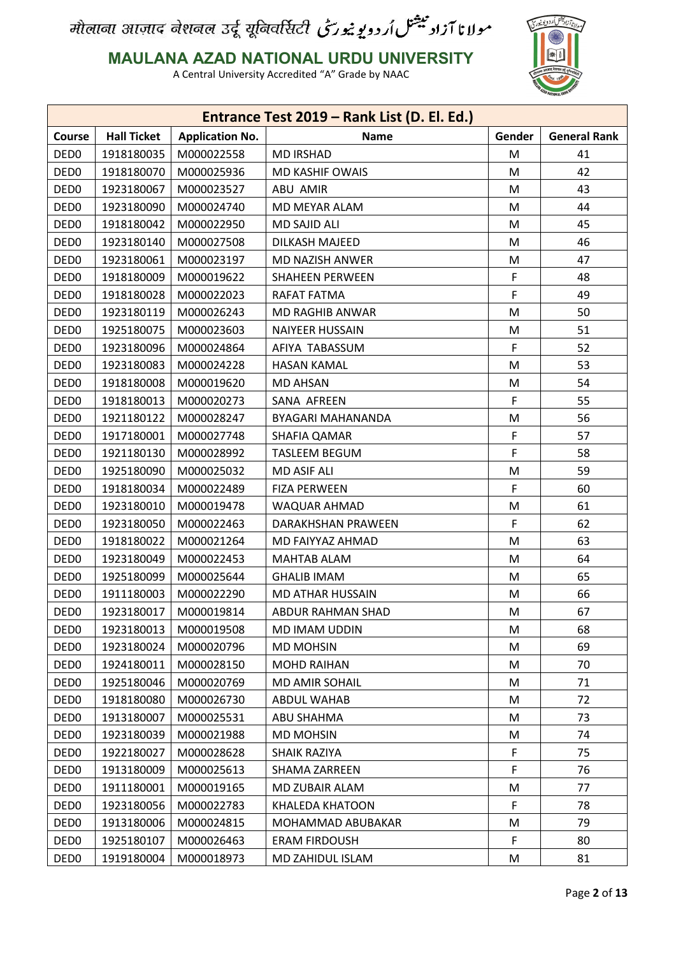

**MAULANA AZAD NATIONAL URDU UNIVERSITY**

|                  |                    |                        | Entrance Test 2019 - Rank List (D. El. Ed.) |        |                     |
|------------------|--------------------|------------------------|---------------------------------------------|--------|---------------------|
| Course           | <b>Hall Ticket</b> | <b>Application No.</b> | <b>Name</b>                                 | Gender | <b>General Rank</b> |
| DED <sub>0</sub> | 1918180035         | M000022558             | <b>MD IRSHAD</b>                            | M      | 41                  |
| DED <sub>0</sub> | 1918180070         | M000025936             | <b>MD KASHIF OWAIS</b>                      | M      | 42                  |
| DED <sub>0</sub> | 1923180067         | M000023527             | ABU AMIR                                    | M      | 43                  |
| DED <sub>0</sub> | 1923180090         | M000024740             | MD MEYAR ALAM                               | M      | 44                  |
| DED <sub>0</sub> | 1918180042         | M000022950             | <b>MD SAJID ALI</b>                         | M      | 45                  |
| DED <sub>0</sub> | 1923180140         | M000027508             | <b>DILKASH MAJEED</b>                       | M      | 46                  |
| DED <sub>0</sub> | 1923180061         | M000023197             | MD NAZISH ANWER                             | M      | 47                  |
| DED <sub>0</sub> | 1918180009         | M000019622             | SHAHEEN PERWEEN                             | F      | 48                  |
| DED <sub>0</sub> | 1918180028         | M000022023             | RAFAT FATMA                                 | F      | 49                  |
| DED <sub>0</sub> | 1923180119         | M000026243             | MD RAGHIB ANWAR                             | M      | 50                  |
| DED <sub>0</sub> | 1925180075         | M000023603             | <b>NAIYEER HUSSAIN</b>                      | М      | 51                  |
| DED <sub>0</sub> | 1923180096         | M000024864             | AFIYA TABASSUM                              | F      | 52                  |
| DED <sub>0</sub> | 1923180083         | M000024228             | <b>HASAN KAMAL</b>                          | M      | 53                  |
| DED <sub>0</sub> | 1918180008         | M000019620             | <b>MD AHSAN</b>                             | M      | 54                  |
| DED <sub>0</sub> | 1918180013         | M000020273             | SANA AFREEN                                 | F      | 55                  |
| DED <sub>0</sub> | 1921180122         | M000028247             | BYAGARI MAHANANDA                           | M      | 56                  |
| DED <sub>0</sub> | 1917180001         | M000027748             | SHAFIA QAMAR                                | F      | 57                  |
| DED <sub>0</sub> | 1921180130         | M000028992             | <b>TASLEEM BEGUM</b>                        | F      | 58                  |
| DED <sub>0</sub> | 1925180090         | M000025032             | <b>MD ASIF ALI</b>                          | M      | 59                  |
| DED <sub>0</sub> | 1918180034         | M000022489             | <b>FIZA PERWEEN</b>                         | F      | 60                  |
| DED <sub>0</sub> | 1923180010         | M000019478             | WAQUAR AHMAD                                | M      | 61                  |
| DED <sub>0</sub> | 1923180050         | M000022463             | DARAKHSHAN PRAWEEN                          | F      | 62                  |
| DED <sub>0</sub> | 1918180022         | M000021264             | MD FAIYYAZ AHMAD                            | M      | 63                  |
| DED <sub>0</sub> | 1923180049         | M000022453             | <b>MAHTAB ALAM</b>                          | M      | 64                  |
| DED <sub>0</sub> | 1925180099         | M000025644             | <b>GHALIB IMAM</b>                          | M      | 65                  |
| DED <sub>0</sub> | 1911180003         | M000022290             | MD ATHAR HUSSAIN                            | M      | 66                  |
| DED <sub>0</sub> | 1923180017         | M000019814             | ABDUR RAHMAN SHAD                           | M      | 67                  |
| DED <sub>0</sub> | 1923180013         | M000019508             | MD IMAM UDDIN                               | М      | 68                  |
| DED <sub>0</sub> | 1923180024         | M000020796             | <b>MD MOHSIN</b>                            | M      | 69                  |
| DED <sub>0</sub> | 1924180011         | M000028150             | <b>MOHD RAIHAN</b>                          | M      | 70                  |
| DED <sub>0</sub> | 1925180046         | M000020769             | MD AMIR SOHAIL                              | M      | 71                  |
| DED <sub>0</sub> | 1918180080         | M000026730             | <b>ABDUL WAHAB</b>                          | M      | 72                  |
| DED <sub>0</sub> | 1913180007         | M000025531             | ABU SHAHMA                                  | М      | 73                  |
| DED <sub>0</sub> | 1923180039         | M000021988             | <b>MD MOHSIN</b>                            | M      | 74                  |
| DED <sub>0</sub> | 1922180027         | M000028628             | SHAIK RAZIYA                                | F      | 75                  |
| DED <sub>0</sub> | 1913180009         | M000025613             | SHAMA ZARREEN                               | F      | 76                  |
| DED <sub>0</sub> | 1911180001         | M000019165             | MD ZUBAIR ALAM                              | M      | 77                  |
| DED <sub>0</sub> | 1923180056         | M000022783             | KHALEDA KHATOON                             | F      | 78                  |
| DED <sub>0</sub> | 1913180006         | M000024815             | MOHAMMAD ABUBAKAR                           | M      | 79                  |
| DED <sub>0</sub> | 1925180107         | M000026463             | <b>ERAM FIRDOUSH</b>                        | F      | 80                  |
| DED <sub>0</sub> | 1919180004         | M000018973             | MD ZAHIDUL ISLAM                            | M      | 81                  |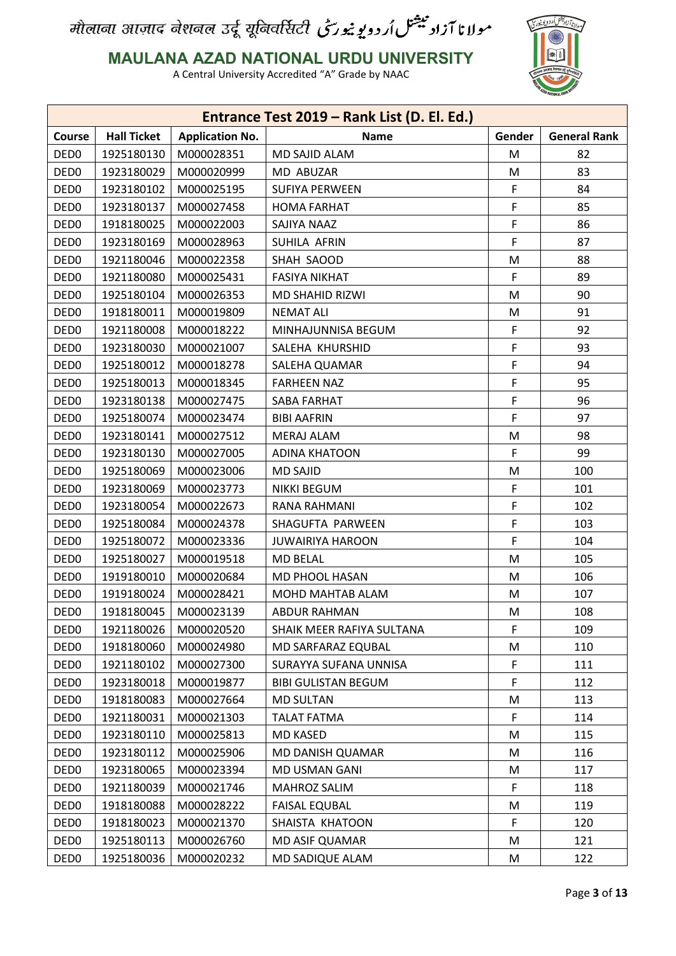

#### **MAULANA AZAD NATIONAL URDU UNIVERSITY**

|                  |                    |                        | Entrance Test 2019 - Rank List (D. El. Ed.) |        |                     |
|------------------|--------------------|------------------------|---------------------------------------------|--------|---------------------|
| <b>Course</b>    | <b>Hall Ticket</b> | <b>Application No.</b> | <b>Name</b>                                 | Gender | <b>General Rank</b> |
| DED <sub>0</sub> | 1925180130         | M000028351             | MD SAJID ALAM                               | M      | 82                  |
| DED <sub>0</sub> | 1923180029         | M000020999             | MD ABUZAR                                   | М      | 83                  |
| DED <sub>0</sub> | 1923180102         | M000025195             | <b>SUFIYA PERWEEN</b>                       | F      | 84                  |
| DED <sub>0</sub> | 1923180137         | M000027458             | <b>HOMA FARHAT</b>                          | F      | 85                  |
| DED <sub>0</sub> | 1918180025         | M000022003             | SAJIYA NAAZ                                 | F      | 86                  |
| DED <sub>0</sub> | 1923180169         | M000028963             | SUHILA AFRIN                                | F      | 87                  |
| DED <sub>0</sub> | 1921180046         | M000022358             | SHAH SAOOD                                  | M      | 88                  |
| DED <sub>0</sub> | 1921180080         | M000025431             | <b>FASIYA NIKHAT</b>                        | F      | 89                  |
| DED <sub>0</sub> | 1925180104         | M000026353             | MD SHAHID RIZWI                             | M      | 90                  |
| DED <sub>0</sub> | 1918180011         | M000019809             | <b>NEMAT ALI</b>                            | M      | 91                  |
| DED <sub>0</sub> | 1921180008         | M000018222             | MINHAJUNNISA BEGUM                          | F      | 92                  |
| DED <sub>0</sub> | 1923180030         | M000021007             | SALEHA KHURSHID                             | F      | 93                  |
| DED <sub>0</sub> | 1925180012         | M000018278             | SALEHA QUAMAR                               | F      | 94                  |
| DED <sub>0</sub> | 1925180013         | M000018345             | <b>FARHEEN NAZ</b>                          | F      | 95                  |
| DED <sub>0</sub> | 1923180138         | M000027475             | SABA FARHAT                                 | F      | 96                  |
| DED <sub>0</sub> | 1925180074         | M000023474             | <b>BIBI AAFRIN</b>                          | F      | 97                  |
| DED <sub>0</sub> | 1923180141         | M000027512             | <b>MERAJ ALAM</b>                           | М      | 98                  |
| DED <sub>0</sub> | 1923180130         | M000027005             | <b>ADINA KHATOON</b>                        | F      | 99                  |
| DED <sub>0</sub> | 1925180069         | M000023006             | <b>MD SAJID</b>                             | М      | 100                 |
| DED <sub>0</sub> | 1923180069         | M000023773             | <b>NIKKI BEGUM</b>                          | F      | 101                 |
| DED <sub>0</sub> | 1923180054         | M000022673             | RANA RAHMANI                                | F      | 102                 |
| DED <sub>0</sub> | 1925180084         | M000024378             | SHAGUFTA PARWEEN                            | F      | 103                 |
| DED <sub>0</sub> | 1925180072         | M000023336             | <b>JUWAIRIYA HAROON</b>                     | F      | 104                 |
| DED <sub>0</sub> | 1925180027         | M000019518             | <b>MD BELAL</b>                             | M      | 105                 |
| DED <sub>0</sub> | 1919180010         | M000020684             | MD PHOOL HASAN                              | M      | 106                 |
| DED <sub>0</sub> | 1919180024         | M000028421             | MOHD MAHTAB ALAM                            | М      | 107                 |
| DED <sub>0</sub> | 1918180045         | M000023139             | ABDUR RAHMAN                                | M      | 108                 |
| DED <sub>0</sub> | 1921180026         | M000020520             | SHAIK MEER RAFIYA SULTANA                   | F      | 109                 |
| DED <sub>0</sub> | 1918180060         | M000024980             | MD SARFARAZ EQUBAL                          | M      | 110                 |
| DED <sub>0</sub> | 1921180102         | M000027300             | SURAYYA SUFANA UNNISA                       | F      | 111                 |
| DED <sub>0</sub> | 1923180018         | M000019877             | <b>BIBI GULISTAN BEGUM</b>                  | F      | 112                 |
| DED <sub>0</sub> | 1918180083         | M000027664             | <b>MD SULTAN</b>                            | M      | 113                 |
| DED <sub>0</sub> | 1921180031         | M000021303             | <b>TALAT FATMA</b>                          | F      | 114                 |
| DED <sub>0</sub> | 1923180110         | M000025813             | <b>MD KASED</b>                             | M      | 115                 |
| DED <sub>0</sub> | 1923180112         | M000025906             | MD DANISH QUAMAR                            | M      | 116                 |
| DED <sub>0</sub> | 1923180065         | M000023394             | MD USMAN GANI                               | M      | 117                 |
| DED <sub>0</sub> | 1921180039         | M000021746             | MAHROZ SALIM                                | F      | 118                 |
| DED <sub>0</sub> | 1918180088         | M000028222             | <b>FAISAL EQUBAL</b>                        | M      | 119                 |
| DED <sub>0</sub> | 1918180023         | M000021370             | SHAISTA KHATOON                             | F      | 120                 |
| DED <sub>0</sub> | 1925180113         | M000026760             | <b>MD ASIF QUAMAR</b>                       | M      | 121                 |
| DED <sub>0</sub> | 1925180036         | M000020232             | MD SADIQUE ALAM                             | M      | 122                 |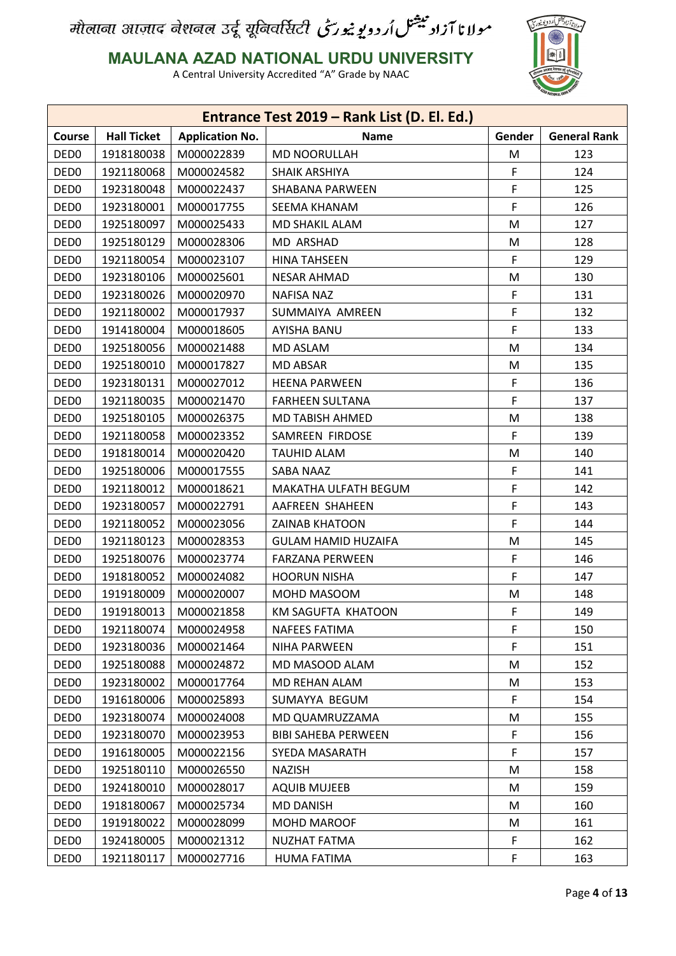

**MAULANA AZAD NATIONAL URDU UNIVERSITY**

|                  |                    |                        | Entrance Test 2019 - Rank List (D. El. Ed.) |        |                     |
|------------------|--------------------|------------------------|---------------------------------------------|--------|---------------------|
| Course           | <b>Hall Ticket</b> | <b>Application No.</b> | <b>Name</b>                                 | Gender | <b>General Rank</b> |
| DED <sub>0</sub> | 1918180038         | M000022839             | <b>MD NOORULLAH</b>                         | M      | 123                 |
| DED <sub>0</sub> | 1921180068         | M000024582             | SHAIK ARSHIYA                               | F      | 124                 |
| DED <sub>0</sub> | 1923180048         | M000022437             | SHABANA PARWEEN                             | F      | 125                 |
| DED <sub>0</sub> | 1923180001         | M000017755             | SEEMA KHANAM                                | F      | 126                 |
| DED <sub>0</sub> | 1925180097         | M000025433             | MD SHAKIL ALAM                              | M      | 127                 |
| DED <sub>0</sub> | 1925180129         | M000028306             | MD ARSHAD                                   | M      | 128                 |
| DED <sub>0</sub> | 1921180054         | M000023107             | <b>HINA TAHSEEN</b>                         | F      | 129                 |
| DED <sub>0</sub> | 1923180106         | M000025601             | <b>NESAR AHMAD</b>                          | M      | 130                 |
| DED <sub>0</sub> | 1923180026         | M000020970             | <b>NAFISA NAZ</b>                           | F      | 131                 |
| DED <sub>0</sub> | 1921180002         | M000017937             | SUMMAIYA AMREEN                             | F      | 132                 |
| DED <sub>0</sub> | 1914180004         | M000018605             | AYISHA BANU                                 | F      | 133                 |
| DED <sub>0</sub> | 1925180056         | M000021488             | <b>MD ASLAM</b>                             | M      | 134                 |
| DED <sub>0</sub> | 1925180010         | M000017827             | <b>MD ABSAR</b>                             | M      | 135                 |
| DED <sub>0</sub> | 1923180131         | M000027012             | <b>HEENA PARWEEN</b>                        | F      | 136                 |
| DED <sub>0</sub> | 1921180035         | M000021470             | <b>FARHEEN SULTANA</b>                      | F      | 137                 |
| DED <sub>0</sub> | 1925180105         | M000026375             | MD TABISH AHMED                             | M      | 138                 |
| DED <sub>0</sub> | 1921180058         | M000023352             | SAMREEN FIRDOSE                             | F      | 139                 |
| DED <sub>0</sub> | 1918180014         | M000020420             | <b>TAUHID ALAM</b>                          | M      | 140                 |
| DED <sub>0</sub> | 1925180006         | M000017555             | SABA NAAZ                                   | F      | 141                 |
| DED <sub>0</sub> | 1921180012         | M000018621             | MAKATHA ULFATH BEGUM                        | F      | 142                 |
| DED <sub>0</sub> | 1923180057         | M000022791             | AAFREEN SHAHEEN                             | F      | 143                 |
| DED <sub>0</sub> | 1921180052         | M000023056             | <b>ZAINAB KHATOON</b>                       | F      | 144                 |
| DED <sub>0</sub> | 1921180123         | M000028353             | <b>GULAM HAMID HUZAIFA</b>                  | M      | 145                 |
| DED <sub>0</sub> | 1925180076         | M000023774             | FARZANA PERWEEN                             | F      | 146                 |
| DED <sub>0</sub> | 1918180052         | M000024082             | <b>HOORUN NISHA</b>                         | F      | 147                 |
| DED <sub>0</sub> | 1919180009         | M000020007             | MOHD MASOOM                                 | M      | 148                 |
| DED <sub>0</sub> | 1919180013         | M000021858             | <b>KM SAGUFTA KHATOON</b>                   | F      | 149                 |
| DED <sub>0</sub> | 1921180074         | M000024958             | <b>NAFEES FATIMA</b>                        | F      | 150                 |
| DED <sub>0</sub> | 1923180036         | M000021464             | <b>NIHA PARWEEN</b>                         | F      | 151                 |
| DED <sub>0</sub> | 1925180088         | M000024872             | MD MASOOD ALAM                              | M      | 152                 |
| DED <sub>0</sub> | 1923180002         | M000017764             | MD REHAN ALAM                               | M      | 153                 |
| DED <sub>0</sub> | 1916180006         | M000025893             | SUMAYYA BEGUM                               | F      | 154                 |
| DED <sub>0</sub> | 1923180074         | M000024008             | MD QUAMRUZZAMA                              | M      | 155                 |
| DED <sub>0</sub> | 1923180070         | M000023953             | <b>BIBI SAHEBA PERWEEN</b>                  | F      | 156                 |
| DED <sub>0</sub> | 1916180005         | M000022156             | SYEDA MASARATH                              | F      | 157                 |
| DED <sub>0</sub> | 1925180110         | M000026550             | <b>NAZISH</b>                               | M      | 158                 |
| DED <sub>0</sub> | 1924180010         | M000028017             | <b>AQUIB MUJEEB</b>                         | M      | 159                 |
| DED <sub>0</sub> | 1918180067         | M000025734             | <b>MD DANISH</b>                            | M      | 160                 |
| DED <sub>0</sub> | 1919180022         | M000028099             | <b>MOHD MAROOF</b>                          | M      | 161                 |
| DED <sub>0</sub> | 1924180005         | M000021312             | <b>NUZHAT FATMA</b>                         | F      | 162                 |
| DED <sub>0</sub> | 1921180117         | M000027716             | HUMA FATIMA                                 | F      | 163                 |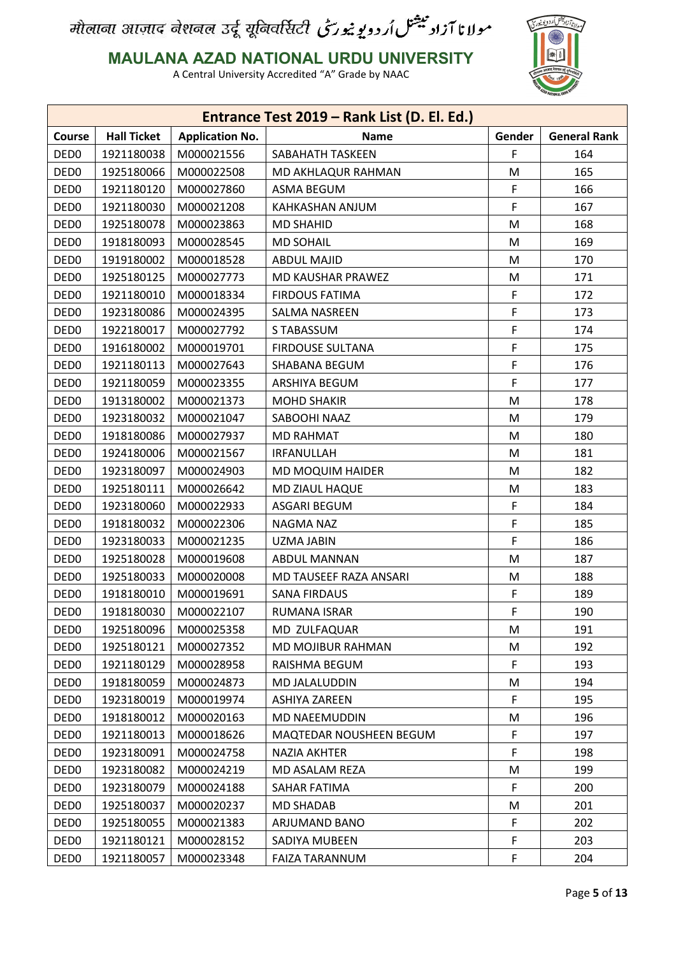

**MAULANA AZAD NATIONAL URDU UNIVERSITY**

|                  |                    |                        | Entrance Test 2019 - Rank List (D. El. Ed.) |        |                     |
|------------------|--------------------|------------------------|---------------------------------------------|--------|---------------------|
| <b>Course</b>    | <b>Hall Ticket</b> | <b>Application No.</b> | <b>Name</b>                                 | Gender | <b>General Rank</b> |
| DED <sub>0</sub> | 1921180038         | M000021556             | SABAHATH TASKEEN                            | F      | 164                 |
| DED <sub>0</sub> | 1925180066         | M000022508             | MD AKHLAQUR RAHMAN                          | M      | 165                 |
| DED <sub>0</sub> | 1921180120         | M000027860             | ASMA BEGUM                                  | F      | 166                 |
| DED <sub>0</sub> | 1921180030         | M000021208             | KAHKASHAN ANJUM                             | F      | 167                 |
| DED <sub>0</sub> | 1925180078         | M000023863             | <b>MD SHAHID</b>                            | M      | 168                 |
| DED <sub>0</sub> | 1918180093         | M000028545             | <b>MD SOHAIL</b>                            | M      | 169                 |
| DED <sub>0</sub> | 1919180002         | M000018528             | ABDUL MAJID                                 | M      | 170                 |
| DED <sub>0</sub> | 1925180125         | M000027773             | MD KAUSHAR PRAWEZ                           | M      | 171                 |
| DED <sub>0</sub> | 1921180010         | M000018334             | <b>FIRDOUS FATIMA</b>                       | F      | 172                 |
| DED <sub>0</sub> | 1923180086         | M000024395             | SALMA NASREEN                               | F      | 173                 |
| DED <sub>0</sub> | 1922180017         | M000027792             | S TABASSUM                                  | F      | 174                 |
| DED <sub>0</sub> | 1916180002         | M000019701             | <b>FIRDOUSE SULTANA</b>                     | F      | 175                 |
| DED <sub>0</sub> | 1921180113         | M000027643             | SHABANA BEGUM                               | F      | 176                 |
| DED <sub>0</sub> | 1921180059         | M000023355             | ARSHIYA BEGUM                               | F      | 177                 |
| DED <sub>0</sub> | 1913180002         | M000021373             | <b>MOHD SHAKIR</b>                          | M      | 178                 |
| DED <sub>0</sub> | 1923180032         | M000021047             | SABOOHI NAAZ                                | M      | 179                 |
| DED <sub>0</sub> | 1918180086         | M000027937             | <b>MD RAHMAT</b>                            | M      | 180                 |
| DED <sub>0</sub> | 1924180006         | M000021567             | <b>IRFANULLAH</b>                           | M      | 181                 |
| DED <sub>0</sub> | 1923180097         | M000024903             | MD MOQUIM HAIDER                            | М      | 182                 |
| DED <sub>0</sub> | 1925180111         | M000026642             | MD ZIAUL HAQUE                              | M      | 183                 |
| DED <sub>0</sub> | 1923180060         | M000022933             | ASGARI BEGUM                                | F      | 184                 |
| DED <sub>0</sub> | 1918180032         | M000022306             | NAGMA NAZ                                   | F      | 185                 |
| DED <sub>0</sub> | 1923180033         | M000021235             | UZMA JABIN                                  | F      | 186                 |
| DED <sub>0</sub> | 1925180028         | M000019608             | ABDUL MANNAN                                | M      | 187                 |
| DED <sub>0</sub> | 1925180033         | M000020008             | MD TAUSEEF RAZA ANSARI                      | M      | 188                 |
| DED <sub>0</sub> | 1918180010         | M000019691             | SANA FIRDAUS                                | F      | 189                 |
| DED <sub>0</sub> | 1918180030         | M000022107             | RUMANA ISRAR                                | F      | 190                 |
| DED <sub>0</sub> | 1925180096         | M000025358             | MD ZULFAQUAR                                | M      | 191                 |
| DED <sub>0</sub> | 1925180121         | M000027352             | MD MOJIBUR RAHMAN                           | M      | 192                 |
| DED <sub>0</sub> | 1921180129         | M000028958             | RAISHMA BEGUM                               | F      | 193                 |
| DED <sub>0</sub> | 1918180059         | M000024873             | MD JALALUDDIN                               | M      | 194                 |
| DED <sub>0</sub> | 1923180019         | M000019974             | ASHIYA ZAREEN                               | F      | 195                 |
| DED <sub>0</sub> | 1918180012         | M000020163             | MD NAEEMUDDIN                               | M      | 196                 |
| DED <sub>0</sub> | 1921180013         | M000018626             | MAQTEDAR NOUSHEEN BEGUM                     | F      | 197                 |
| DED <sub>0</sub> | 1923180091         | M000024758             | NAZIA AKHTER                                | F      | 198                 |
| DED <sub>0</sub> | 1923180082         | M000024219             | MD ASALAM REZA                              | M      | 199                 |
| DED <sub>0</sub> | 1923180079         | M000024188             | SAHAR FATIMA                                | F      | 200                 |
| DED <sub>0</sub> | 1925180037         | M000020237             | MD SHADAB                                   | M      | 201                 |
| DED <sub>0</sub> | 1925180055         | M000021383             | ARJUMAND BANO                               | F      | 202                 |
| DED <sub>0</sub> | 1921180121         | M000028152             | SADIYA MUBEEN                               | F      | 203                 |
| DED <sub>0</sub> | 1921180057         | M000023348             | FAIZA TARANNUM                              | F      | 204                 |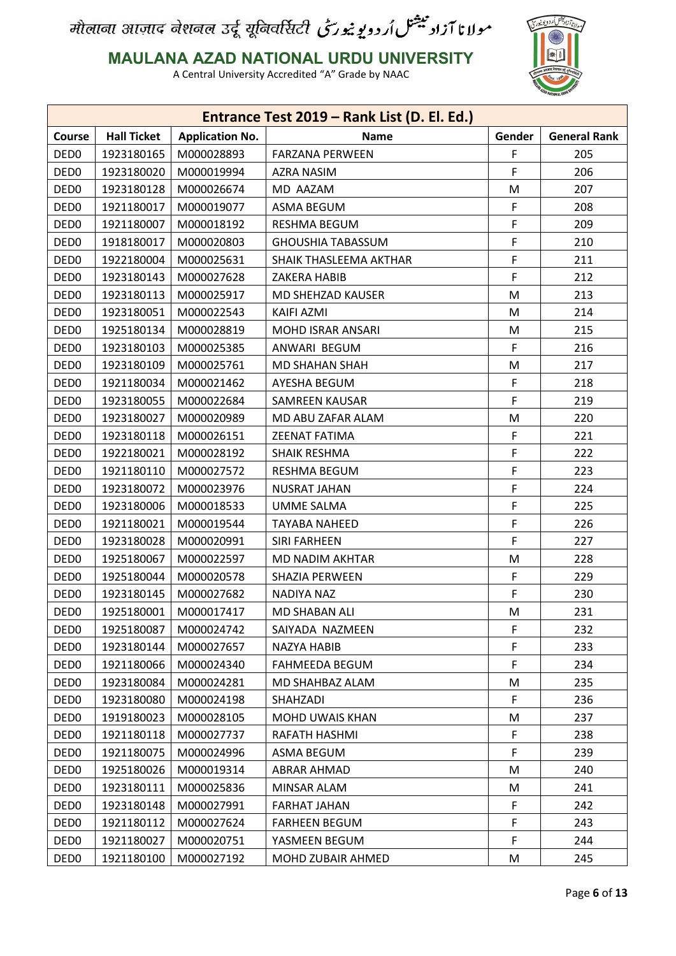

**MAULANA AZAD NATIONAL URDU UNIVERSITY**

|                  |                    |                        | Entrance Test 2019 - Rank List (D. El. Ed.) |        |                     |
|------------------|--------------------|------------------------|---------------------------------------------|--------|---------------------|
| <b>Course</b>    | <b>Hall Ticket</b> | <b>Application No.</b> | <b>Name</b>                                 | Gender | <b>General Rank</b> |
| DED <sub>0</sub> | 1923180165         | M000028893             | <b>FARZANA PERWEEN</b>                      | F      | 205                 |
| DED <sub>0</sub> | 1923180020         | M000019994             | AZRA NASIM                                  | F      | 206                 |
| DED <sub>0</sub> | 1923180128         | M000026674             | MD AAZAM                                    | M      | 207                 |
| DED <sub>0</sub> | 1921180017         | M000019077             | ASMA BEGUM                                  | F      | 208                 |
| DED <sub>0</sub> | 1921180007         | M000018192             | RESHMA BEGUM                                | F      | 209                 |
| DED <sub>0</sub> | 1918180017         | M000020803             | <b>GHOUSHIA TABASSUM</b>                    | F      | 210                 |
| DED <sub>0</sub> | 1922180004         | M000025631             | SHAIK THASLEEMA AKTHAR                      | F      | 211                 |
| DED <sub>0</sub> | 1923180143         | M000027628             | ZAKERA HABIB                                | F      | 212                 |
| DED <sub>0</sub> | 1923180113         | M000025917             | MD SHEHZAD KAUSER                           | M      | 213                 |
| DED <sub>0</sub> | 1923180051         | M000022543             | KAIFI AZMI                                  | M      | 214                 |
| DED <sub>0</sub> | 1925180134         | M000028819             | MOHD ISRAR ANSARI                           | M      | 215                 |
| DED <sub>0</sub> | 1923180103         | M000025385             | ANWARI BEGUM                                | F      | 216                 |
| DED <sub>0</sub> | 1923180109         | M000025761             | <b>MD SHAHAN SHAH</b>                       | M      | 217                 |
| DED <sub>0</sub> | 1921180034         | M000021462             | AYESHA BEGUM                                | F      | 218                 |
| DED <sub>0</sub> | 1923180055         | M000022684             | <b>SAMREEN KAUSAR</b>                       | F.     | 219                 |
| DED <sub>0</sub> | 1923180027         | M000020989             | MD ABU ZAFAR ALAM                           | M      | 220                 |
| DED <sub>0</sub> | 1923180118         | M000026151             | <b>ZEENAT FATIMA</b>                        | F      | 221                 |
| DED <sub>0</sub> | 1922180021         | M000028192             | SHAIK RESHMA                                | F      | 222                 |
| DED <sub>0</sub> | 1921180110         | M000027572             | RESHMA BEGUM                                | F      | 223                 |
| DED <sub>0</sub> | 1923180072         | M000023976             | <b>NUSRAT JAHAN</b>                         | F      | 224                 |
| DED <sub>0</sub> | 1923180006         | M000018533             | <b>UMME SALMA</b>                           | F      | 225                 |
| DED <sub>0</sub> | 1921180021         | M000019544             | TAYABA NAHEED                               | F      | 226                 |
| DED <sub>0</sub> | 1923180028         | M000020991             | <b>SIRI FARHEEN</b>                         | F      | 227                 |
| DED <sub>0</sub> | 1925180067         | M000022597             | MD NADIM AKHTAR                             | M      | 228                 |
| DED <sub>0</sub> | 1925180044         | M000020578             | SHAZIA PERWEEN                              | F      | 229                 |
| DED <sub>0</sub> | 1923180145         | M000027682             | NADIYA NAZ                                  | F.     | 230                 |
| DED <sub>0</sub> | 1925180001         | M000017417             | <b>MD SHABAN ALI</b>                        | M      | 231                 |
| DED <sub>0</sub> | 1925180087         | M000024742             | SAIYADA NAZMEEN                             | F.     | 232                 |
| DED <sub>0</sub> | 1923180144         | M000027657             | NAZYA HABIB                                 | F      | 233                 |
| DED <sub>0</sub> | 1921180066         | M000024340             | FAHMEEDA BEGUM                              | F      | 234                 |
| DED <sub>0</sub> | 1923180084         | M000024281             | MD SHAHBAZ ALAM                             | M      | 235                 |
| DED <sub>0</sub> | 1923180080         | M000024198             | SHAHZADI                                    | F      | 236                 |
| DED <sub>0</sub> | 1919180023         | M000028105             | <b>MOHD UWAIS KHAN</b>                      | M      | 237                 |
| DED <sub>0</sub> | 1921180118         | M000027737             | RAFATH HASHMI                               | F      | 238                 |
| DED <sub>0</sub> | 1921180075         | M000024996             | ASMA BEGUM                                  | F      | 239                 |
| DED <sub>0</sub> | 1925180026         | M000019314             | ABRAR AHMAD                                 | M      | 240                 |
| DED <sub>0</sub> | 1923180111         | M000025836             | MINSAR ALAM                                 | M      | 241                 |
| DED <sub>0</sub> | 1923180148         | M000027991             | FARHAT JAHAN                                | F.     | 242                 |
| DED <sub>0</sub> | 1921180112         | M000027624             | <b>FARHEEN BEGUM</b>                        | F      | 243                 |
| DED <sub>0</sub> | 1921180027         | M000020751             | YASMEEN BEGUM                               | F      | 244                 |
| DED <sub>0</sub> | 1921180100         | M000027192             | MOHD ZUBAIR AHMED                           | M      | 245                 |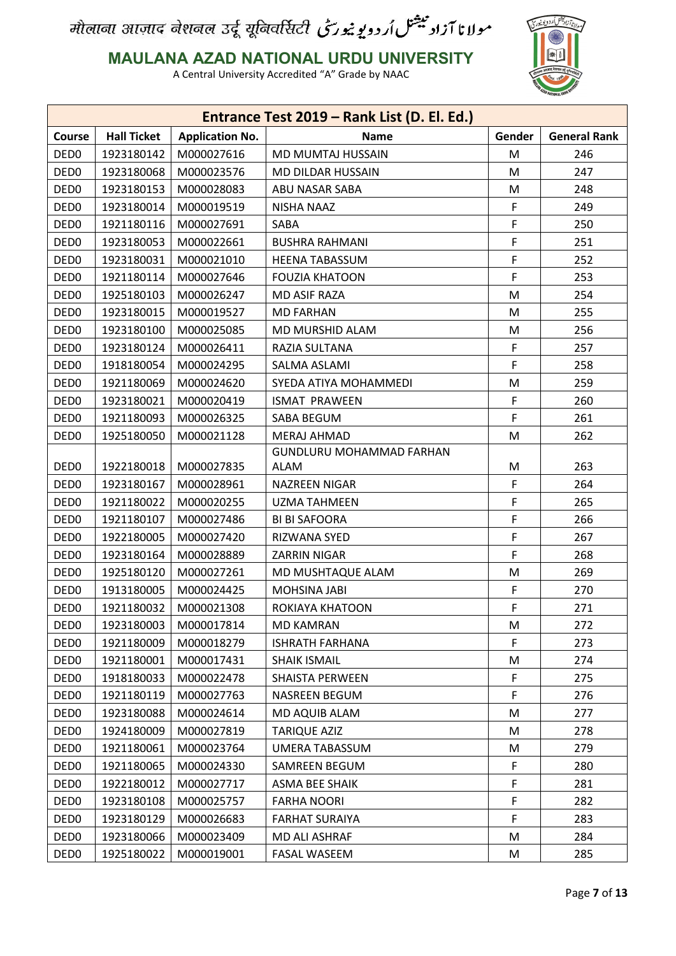

#### **MAULANA AZAD NATIONAL URDU UNIVERSITY**

|                  |                    |                        | Entrance Test 2019 - Rank List (D. El. Ed.) |        |                     |
|------------------|--------------------|------------------------|---------------------------------------------|--------|---------------------|
| Course           | <b>Hall Ticket</b> | <b>Application No.</b> | <b>Name</b>                                 | Gender | <b>General Rank</b> |
| DED <sub>0</sub> | 1923180142         | M000027616             | MD MUMTAJ HUSSAIN                           | M      | 246                 |
| DED <sub>0</sub> | 1923180068         | M000023576             | MD DILDAR HUSSAIN                           | M      | 247                 |
| DED <sub>0</sub> | 1923180153         | M000028083             | ABU NASAR SABA                              | M      | 248                 |
| DED <sub>0</sub> | 1923180014         | M000019519             | <b>NISHA NAAZ</b>                           | F      | 249                 |
| DED <sub>0</sub> | 1921180116         | M000027691             | SABA                                        | F      | 250                 |
| DED <sub>0</sub> | 1923180053         | M000022661             | <b>BUSHRA RAHMANI</b>                       | F      | 251                 |
| DED <sub>0</sub> | 1923180031         | M000021010             | <b>HEENA TABASSUM</b>                       | F      | 252                 |
| DED <sub>0</sub> | 1921180114         | M000027646             | <b>FOUZIA KHATOON</b>                       | F      | 253                 |
| DED <sub>0</sub> | 1925180103         | M000026247             | MD ASIF RAZA                                | M      | 254                 |
| DED <sub>0</sub> | 1923180015         | M000019527             | <b>MD FARHAN</b>                            | M      | 255                 |
| DED <sub>0</sub> | 1923180100         | M000025085             | MD MURSHID ALAM                             | M      | 256                 |
| DED <sub>0</sub> | 1923180124         | M000026411             | RAZIA SULTANA                               | F      | 257                 |
| DED <sub>0</sub> | 1918180054         | M000024295             | SALMA ASLAMI                                | F      | 258                 |
| DED <sub>0</sub> | 1921180069         | M000024620             | SYEDA ATIYA MOHAMMEDI                       | M      | 259                 |
| DED <sub>0</sub> | 1923180021         | M000020419             | <b>ISMAT PRAWEEN</b>                        | F      | 260                 |
| DED <sub>0</sub> | 1921180093         | M000026325             | SABA BEGUM                                  | F      | 261                 |
| DED <sub>0</sub> | 1925180050         | M000021128             | <b>MERAJ AHMAD</b>                          | M      | 262                 |
|                  |                    |                        | GUNDLURU MOHAMMAD FARHAN                    |        |                     |
| DED <sub>0</sub> | 1922180018         | M000027835             | ALAM                                        | M      | 263                 |
| DED <sub>0</sub> | 1923180167         | M000028961             | <b>NAZREEN NIGAR</b>                        | F      | 264                 |
| DED <sub>0</sub> | 1921180022         | M000020255             | <b>UZMA TAHMEEN</b>                         | F      | 265                 |
| DED <sub>0</sub> | 1921180107         | M000027486             | <b>BI BI SAFOORA</b>                        | F      | 266                 |
| DED <sub>0</sub> | 1922180005         | M000027420             | RIZWANA SYED                                | F      | 267                 |
| DED <sub>0</sub> | 1923180164         | M000028889             | ZARRIN NIGAR                                | F      | 268                 |
| DED <sub>0</sub> | 1925180120         | M000027261             | MD MUSHTAQUE ALAM                           | M      | 269                 |
| DED <sub>0</sub> | 1913180005         | M000024425             | MOHSINA JABI                                | F      | 270                 |
| DED <sub>0</sub> | 1921180032         | M000021308             | ROKIAYA KHATOON                             | F      | 271                 |
| DED <sub>0</sub> | 1923180003         | M000017814             | <b>MD KAMRAN</b>                            | M      | 272                 |
| DED <sub>0</sub> | 1921180009         | M000018279             | <b>ISHRATH FARHANA</b>                      | F      | 273                 |
| DED <sub>0</sub> | 1921180001         | M000017431             | <b>SHAIK ISMAIL</b>                         | M      | 274                 |
| DED <sub>0</sub> | 1918180033         | M000022478             | <b>SHAISTA PERWEEN</b>                      | F      | 275                 |
| DED <sub>0</sub> | 1921180119         | M000027763             | NASREEN BEGUM                               | F      | 276                 |
| DED <sub>0</sub> | 1923180088         | M000024614             | MD AQUIB ALAM                               | M      | 277                 |
| DED <sub>0</sub> | 1924180009         | M000027819             | TARIQUE AZIZ                                | M      | 278                 |
| DED <sub>0</sub> | 1921180061         | M000023764             | <b>UMERA TABASSUM</b>                       | M      | 279                 |
| DED <sub>0</sub> | 1921180065         | M000024330             | SAMREEN BEGUM                               | F      | 280                 |
| DED <sub>0</sub> | 1922180012         | M000027717             | ASMA BEE SHAIK                              | F      | 281                 |
| DED <sub>0</sub> | 1923180108         | M000025757             | <b>FARHA NOORI</b>                          | F      | 282                 |
| DED <sub>0</sub> | 1923180129         | M000026683             | <b>FARHAT SURAIYA</b>                       | F      | 283                 |
| DED <sub>0</sub> | 1923180066         | M000023409             | MD ALI ASHRAF                               | M      | 284                 |
| DED <sub>0</sub> | 1925180022         | M000019001             | <b>FASAL WASEEM</b>                         | M      | 285                 |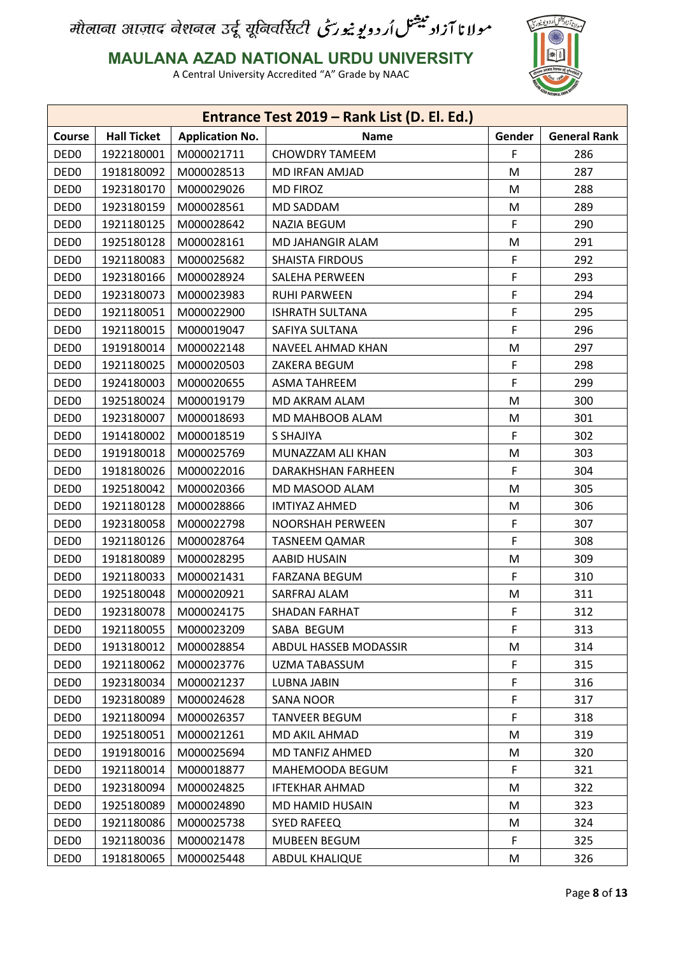

#### **MAULANA AZAD NATIONAL URDU UNIVERSITY**

|                  |                    |                        | Entrance Test 2019 - Rank List (D. El. Ed.) |        |                     |
|------------------|--------------------|------------------------|---------------------------------------------|--------|---------------------|
| Course           | <b>Hall Ticket</b> | <b>Application No.</b> | <b>Name</b>                                 | Gender | <b>General Rank</b> |
| DED <sub>0</sub> | 1922180001         | M000021711             | <b>CHOWDRY TAMEEM</b>                       | F      | 286                 |
| DED <sub>0</sub> | 1918180092         | M000028513             | MD IRFAN AMJAD                              | M      | 287                 |
| DED <sub>0</sub> | 1923180170         | M000029026             | <b>MD FIROZ</b>                             | M      | 288                 |
| DED <sub>0</sub> | 1923180159         | M000028561             | MD SADDAM                                   | M      | 289                 |
| DED <sub>0</sub> | 1921180125         | M000028642             | <b>NAZIA BEGUM</b>                          | F      | 290                 |
| DED <sub>0</sub> | 1925180128         | M000028161             | MD JAHANGIR ALAM                            | M      | 291                 |
| DED <sub>0</sub> | 1921180083         | M000025682             | <b>SHAISTA FIRDOUS</b>                      | F      | 292                 |
| DED <sub>0</sub> | 1923180166         | M000028924             | SALEHA PERWEEN                              | F      | 293                 |
| DED <sub>0</sub> | 1923180073         | M000023983             | <b>RUHI PARWEEN</b>                         | F      | 294                 |
| DED <sub>0</sub> | 1921180051         | M000022900             | <b>ISHRATH SULTANA</b>                      | F      | 295                 |
| DED <sub>0</sub> | 1921180015         | M000019047             | SAFIYA SULTANA                              | F      | 296                 |
| DED <sub>0</sub> | 1919180014         | M000022148             | NAVEEL AHMAD KHAN                           | M      | 297                 |
| DED <sub>0</sub> | 1921180025         | M000020503             | ZAKERA BEGUM                                | F      | 298                 |
| DED <sub>0</sub> | 1924180003         | M000020655             | ASMA TAHREEM                                | F      | 299                 |
| DED <sub>0</sub> | 1925180024         | M000019179             | MD AKRAM ALAM                               | M      | 300                 |
| DED <sub>0</sub> | 1923180007         | M000018693             | MD MAHBOOB ALAM                             | M      | 301                 |
| DED <sub>0</sub> | 1914180002         | M000018519             | S SHAJIYA                                   | F      | 302                 |
| DED <sub>0</sub> | 1919180018         | M000025769             | MUNAZZAM ALI KHAN                           | M      | 303                 |
| DED <sub>0</sub> | 1918180026         | M000022016             | DARAKHSHAN FARHEEN                          | F.     | 304                 |
| DED <sub>0</sub> | 1925180042         | M000020366             | MD MASOOD ALAM                              | M      | 305                 |
| DED <sub>0</sub> | 1921180128         | M000028866             | <b>IMTIYAZ AHMED</b>                        | M      | 306                 |
| DED <sub>0</sub> | 1923180058         | M000022798             | NOORSHAH PERWEEN                            | F      | 307                 |
| DED <sub>0</sub> | 1921180126         | M000028764             | <b>TASNEEM QAMAR</b>                        | F      | 308                 |
| DED <sub>0</sub> | 1918180089         | M000028295             | AABID HUSAIN                                | M      | 309                 |
| DED <sub>0</sub> | 1921180033         | M000021431             | <b>FARZANA BEGUM</b>                        | F      | 310                 |
| DED <sub>0</sub> | 1925180048         | M000020921             | SARFRAJ ALAM                                | M      | 311                 |
| DED <sub>0</sub> | 1923180078         | M000024175             | <b>SHADAN FARHAT</b>                        | F      | 312                 |
| DED <sub>0</sub> | 1921180055         | M000023209             | SABA BEGUM                                  | F      | 313                 |
| DED <sub>0</sub> | 1913180012         | M000028854             | ABDUL HASSEB MODASSIR                       | M      | 314                 |
| DED <sub>0</sub> | 1921180062         | M000023776             | UZMA TABASSUM                               | F      | 315                 |
| DED <sub>0</sub> | 1923180034         | M000021237             | <b>LUBNA JABIN</b>                          | F      | 316                 |
| DED <sub>0</sub> | 1923180089         | M000024628             | <b>SANA NOOR</b>                            | F      | 317                 |
| DED <sub>0</sub> | 1921180094         | M000026357             | <b>TANVEER BEGUM</b>                        | F      | 318                 |
| DED <sub>0</sub> | 1925180051         | M000021261             | MD AKIL AHMAD                               | M      | 319                 |
| DED <sub>0</sub> | 1919180016         | M000025694             | MD TANFIZ AHMED                             | М      | 320                 |
| DED <sub>0</sub> | 1921180014         | M000018877             | MAHEMOODA BEGUM                             | F      | 321                 |
| DED <sub>0</sub> | 1923180094         | M000024825             | <b>IFTEKHAR AHMAD</b>                       | M      | 322                 |
| DED <sub>0</sub> | 1925180089         | M000024890             | MD HAMID HUSAIN                             | M      | 323                 |
| DED <sub>0</sub> | 1921180086         | M000025738             | <b>SYED RAFEEQ</b>                          | M      | 324                 |
| DED <sub>0</sub> | 1921180036         | M000021478             | <b>MUBEEN BEGUM</b>                         | F      | 325                 |
| DED <sub>0</sub> | 1918180065         | M000025448             | ABDUL KHALIQUE                              | M      | 326                 |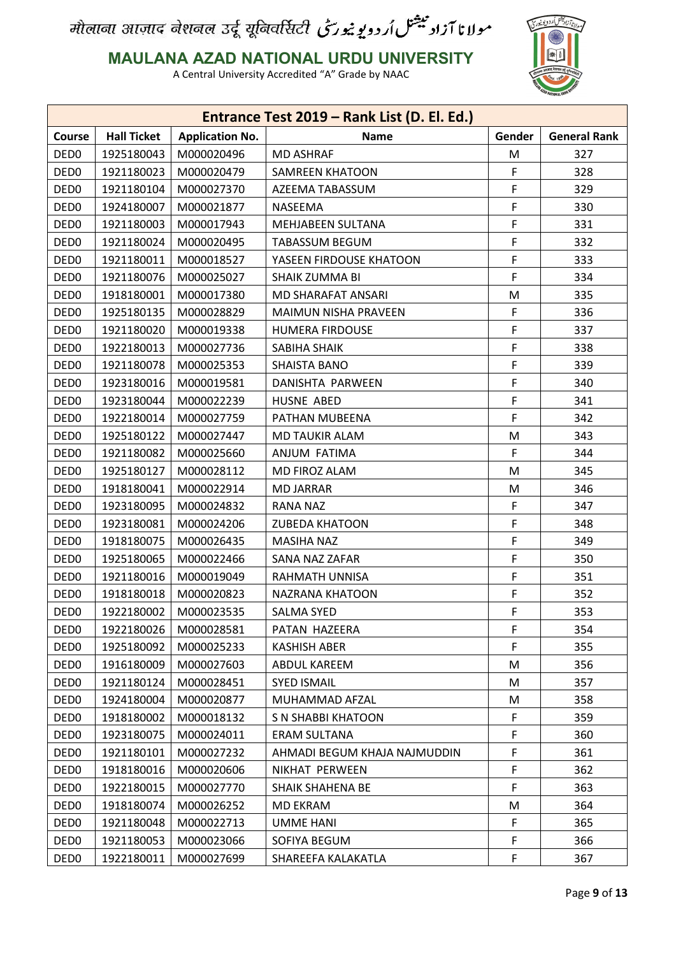

**MAULANA AZAD NATIONAL URDU UNIVERSITY**

|                  |                    |                        | Entrance Test 2019 - Rank List (D. El. Ed.) |        |                     |
|------------------|--------------------|------------------------|---------------------------------------------|--------|---------------------|
| Course           | <b>Hall Ticket</b> | <b>Application No.</b> | <b>Name</b>                                 | Gender | <b>General Rank</b> |
| DED <sub>0</sub> | 1925180043         | M000020496             | <b>MD ASHRAF</b>                            | M      | 327                 |
| DED <sub>0</sub> | 1921180023         | M000020479             | <b>SAMREEN KHATOON</b>                      | F      | 328                 |
| DED <sub>0</sub> | 1921180104         | M000027370             | AZEEMA TABASSUM                             | F      | 329                 |
| DED <sub>0</sub> | 1924180007         | M000021877             | NASEEMA                                     | F      | 330                 |
| DED <sub>0</sub> | 1921180003         | M000017943             | MEHJABEEN SULTANA                           | F      | 331                 |
| DED <sub>0</sub> | 1921180024         | M000020495             | TABASSUM BEGUM                              | F      | 332                 |
| DED <sub>0</sub> | 1921180011         | M000018527             | YASEEN FIRDOUSE KHATOON                     | F      | 333                 |
| DED <sub>0</sub> | 1921180076         | M000025027             | SHAIK ZUMMA BI                              | F      | 334                 |
| DED <sub>0</sub> | 1918180001         | M000017380             | MD SHARAFAT ANSARI                          | M      | 335                 |
| DED <sub>0</sub> | 1925180135         | M000028829             | MAIMUN NISHA PRAVEEN                        | F      | 336                 |
| DED <sub>0</sub> | 1921180020         | M000019338             | <b>HUMERA FIRDOUSE</b>                      | F      | 337                 |
| DED <sub>0</sub> | 1922180013         | M000027736             | SABIHA SHAIK                                | F      | 338                 |
| DED <sub>0</sub> | 1921180078         | M000025353             | SHAISTA BANO                                | F      | 339                 |
| DED <sub>0</sub> | 1923180016         | M000019581             | DANISHTA PARWEEN                            | F      | 340                 |
| DED <sub>0</sub> | 1923180044         | M000022239             | HUSNE ABED                                  | F      | 341                 |
| DED <sub>0</sub> | 1922180014         | M000027759             | PATHAN MUBEENA                              | F      | 342                 |
| DED <sub>0</sub> | 1925180122         | M000027447             | <b>MD TAUKIR ALAM</b>                       | M      | 343                 |
| DED <sub>0</sub> | 1921180082         | M000025660             | ANJUM FATIMA                                | F      | 344                 |
| DED <sub>0</sub> | 1925180127         | M000028112             | MD FIROZ ALAM                               | M      | 345                 |
| DED <sub>0</sub> | 1918180041         | M000022914             | <b>MD JARRAR</b>                            | M      | 346                 |
| DED <sub>0</sub> | 1923180095         | M000024832             | RANA NAZ                                    | F      | 347                 |
| DED <sub>0</sub> | 1923180081         | M000024206             | <b>ZUBEDA KHATOON</b>                       | F      | 348                 |
| DED <sub>0</sub> | 1918180075         | M000026435             | MASIHA NAZ                                  | F      | 349                 |
| DED <sub>0</sub> | 1925180065         | M000022466             | SANA NAZ ZAFAR                              | F      | 350                 |
| DED <sub>0</sub> | 1921180016         | M000019049             | RAHMATH UNNISA                              | F      | 351                 |
| DED <sub>0</sub> | 1918180018         | M000020823             | NAZRANA KHATOON                             | F      | 352                 |
| DED <sub>0</sub> | 1922180002         | M000023535             | <b>SALMA SYED</b>                           | F      | 353                 |
| DED <sub>0</sub> | 1922180026         | M000028581             | PATAN HAZEERA                               | F      | 354                 |
| DED <sub>0</sub> | 1925180092         | M000025233             | <b>KASHISH ABER</b>                         | F      | 355                 |
| DED <sub>0</sub> | 1916180009         | M000027603             | ABDUL KAREEM                                | M      | 356                 |
| DED <sub>0</sub> | 1921180124         | M000028451             | <b>SYED ISMAIL</b>                          | M      | 357                 |
| DED <sub>0</sub> | 1924180004         | M000020877             | MUHAMMAD AFZAL                              | M      | 358                 |
| DED <sub>0</sub> | 1918180002         | M000018132             | S N SHABBI KHATOON                          | F      | 359                 |
| DED <sub>0</sub> | 1923180075         | M000024011             | <b>ERAM SULTANA</b>                         | F      | 360                 |
| DED <sub>0</sub> | 1921180101         | M000027232             | AHMADI BEGUM KHAJA NAJMUDDIN                | F      | 361                 |
| DED <sub>0</sub> | 1918180016         | M000020606             | NIKHAT PERWEEN                              | F      | 362                 |
| DED <sub>0</sub> | 1922180015         | M000027770             | SHAIK SHAHENA BE                            | F      | 363                 |
| DED <sub>0</sub> | 1918180074         | M000026252             | MD EKRAM                                    | M      | 364                 |
| DED <sub>0</sub> | 1921180048         | M000022713             | <b>UMME HANI</b>                            | F      | 365                 |
| DED <sub>0</sub> | 1921180053         | M000023066             | SOFIYA BEGUM                                | F      | 366                 |
| DED <sub>0</sub> | 1922180011         | M000027699             | SHAREEFA KALAKATLA                          | F      | 367                 |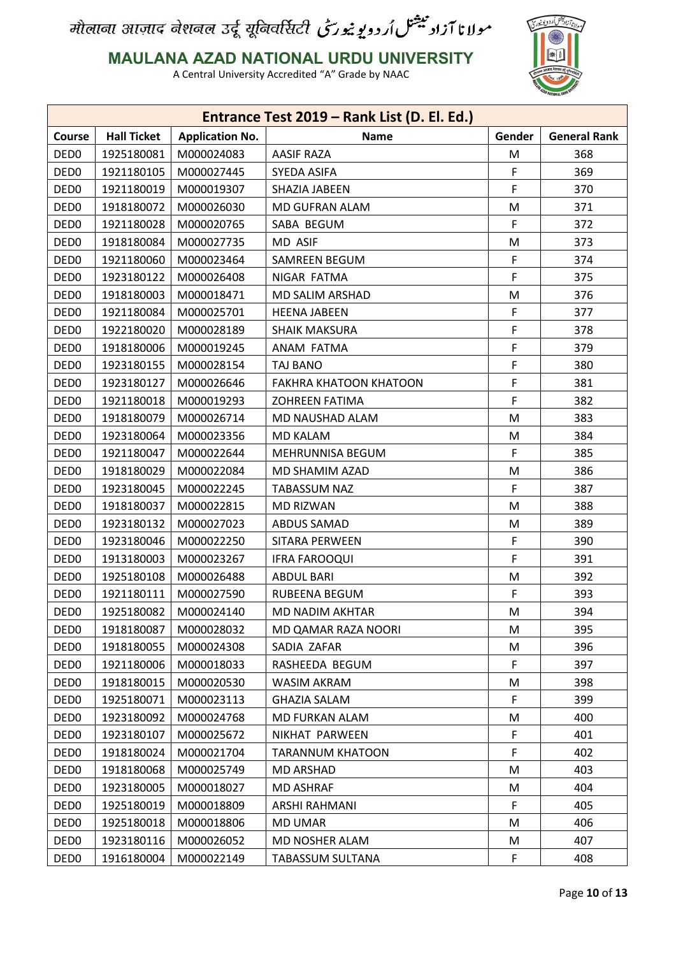

#### **MAULANA AZAD NATIONAL URDU UNIVERSITY**

|                  |                    |                        | Entrance Test 2019 - Rank List (D. El. Ed.) |        |                     |
|------------------|--------------------|------------------------|---------------------------------------------|--------|---------------------|
| Course           | <b>Hall Ticket</b> | <b>Application No.</b> | <b>Name</b>                                 | Gender | <b>General Rank</b> |
| DED <sub>0</sub> | 1925180081         | M000024083             | <b>AASIF RAZA</b>                           | M      | 368                 |
| DED <sub>0</sub> | 1921180105         | M000027445             | SYEDA ASIFA                                 | F      | 369                 |
| DED <sub>0</sub> | 1921180019         | M000019307             | SHAZIA JABEEN                               | F      | 370                 |
| DED <sub>0</sub> | 1918180072         | M000026030             | MD GUFRAN ALAM                              | M      | 371                 |
| DED <sub>0</sub> | 1921180028         | M000020765             | SABA BEGUM                                  | F      | 372                 |
| DED <sub>0</sub> | 1918180084         | M000027735             | MD ASIF                                     | M      | 373                 |
| DED <sub>0</sub> | 1921180060         | M000023464             | <b>SAMREEN BEGUM</b>                        | F      | 374                 |
| DED <sub>0</sub> | 1923180122         | M000026408             | NIGAR FATMA                                 | F      | 375                 |
| DED <sub>0</sub> | 1918180003         | M000018471             | MD SALIM ARSHAD                             | M      | 376                 |
| DED <sub>0</sub> | 1921180084         | M000025701             | <b>HEENA JABEEN</b>                         | F      | 377                 |
| DED <sub>0</sub> | 1922180020         | M000028189             | <b>SHAIK MAKSURA</b>                        | F      | 378                 |
| DED <sub>0</sub> | 1918180006         | M000019245             | ANAM FATMA                                  | F      | 379                 |
| DED <sub>0</sub> | 1923180155         | M000028154             | TAJ BANO                                    | F      | 380                 |
| DED <sub>0</sub> | 1923180127         | M000026646             | <b>FAKHRA KHATOON KHATOON</b>               | F      | 381                 |
| DED <sub>0</sub> | 1921180018         | M000019293             | <b>ZOHREEN FATIMA</b>                       | F      | 382                 |
| DED <sub>0</sub> | 1918180079         | M000026714             | MD NAUSHAD ALAM                             | M      | 383                 |
| DED <sub>0</sub> | 1923180064         | M000023356             | <b>MD KALAM</b>                             | M      | 384                 |
| DED <sub>0</sub> | 1921180047         | M000022644             | MEHRUNNISA BEGUM                            | F      | 385                 |
| DED <sub>0</sub> | 1918180029         | M000022084             | MD SHAMIM AZAD                              | M      | 386                 |
| DED <sub>0</sub> | 1923180045         | M000022245             | <b>TABASSUM NAZ</b>                         | F      | 387                 |
| DED <sub>0</sub> | 1918180037         | M000022815             | <b>MD RIZWAN</b>                            | M      | 388                 |
| DED <sub>0</sub> | 1923180132         | M000027023             | ABDUS SAMAD                                 | M      | 389                 |
| DED <sub>0</sub> | 1923180046         | M000022250             | SITARA PERWEEN                              | F      | 390                 |
| DED <sub>0</sub> | 1913180003         | M000023267             | <b>IFRA FAROOQUI</b>                        | F      | 391                 |
| DED <sub>0</sub> | 1925180108         | M000026488             | <b>ABDUL BARI</b>                           | M      | 392                 |
| DED <sub>0</sub> | 1921180111         | M000027590             | RUBEENA BEGUM                               | F.     | 393                 |
| DED <sub>0</sub> | 1925180082         | M000024140             | MD NADIM AKHTAR                             | M      | 394                 |
| DED <sub>0</sub> | 1918180087         | M000028032             | MD QAMAR RAZA NOORI                         | M      | 395                 |
| DED <sub>0</sub> | 1918180055         | M000024308             | SADIA ZAFAR                                 | M      | 396                 |
| DED <sub>0</sub> | 1921180006         | M000018033             | RASHEEDA BEGUM                              | F      | 397                 |
| DED <sub>0</sub> | 1918180015         | M000020530             | WASIM AKRAM                                 | M      | 398                 |
| DED <sub>0</sub> | 1925180071         | M000023113             | <b>GHAZIA SALAM</b>                         | F      | 399                 |
| DED <sub>0</sub> | 1923180092         | M000024768             | MD FURKAN ALAM                              | M      | 400                 |
| DED <sub>0</sub> | 1923180107         | M000025672             | NIKHAT PARWEEN                              | F      | 401                 |
| DED <sub>0</sub> | 1918180024         | M000021704             | <b>TARANNUM KHATOON</b>                     | F      | 402                 |
| DED <sub>0</sub> | 1918180068         | M000025749             | <b>MD ARSHAD</b>                            | M      | 403                 |
| DED <sub>0</sub> | 1923180005         | M000018027             | <b>MD ASHRAF</b>                            | M      | 404                 |
| DED <sub>0</sub> | 1925180019         | M000018809             | ARSHI RAHMANI                               | F.     | 405                 |
| DED <sub>0</sub> | 1925180018         | M000018806             | MD UMAR                                     | M      | 406                 |
| DED <sub>0</sub> | 1923180116         | M000026052             | MD NOSHER ALAM                              | M      | 407                 |
| DED <sub>0</sub> | 1916180004         | M000022149             | <b>TABASSUM SULTANA</b>                     | F      | 408                 |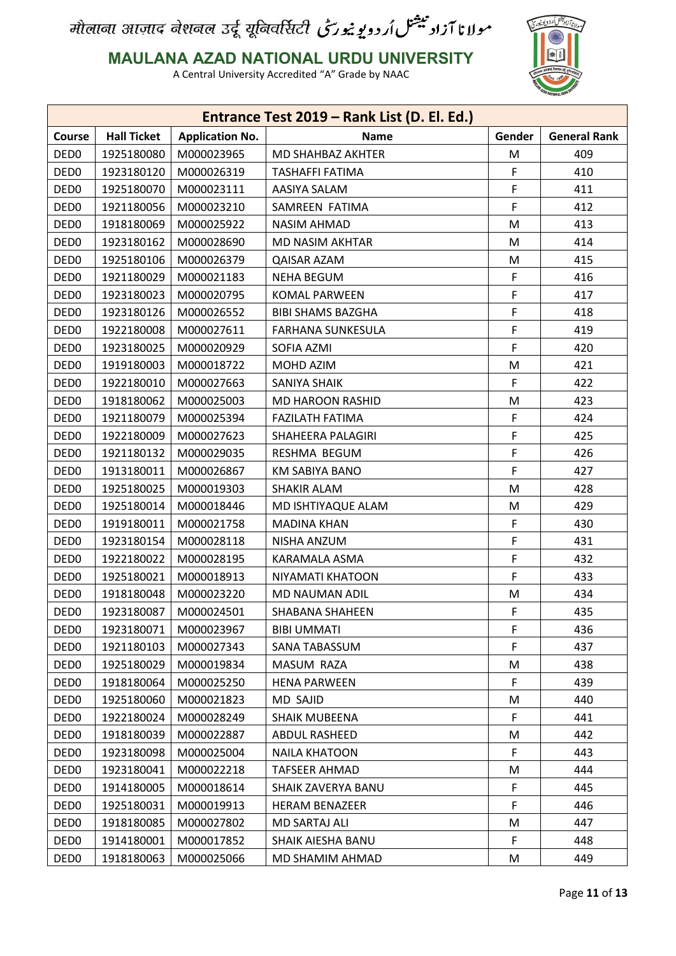

#### **MAULANA AZAD NATIONAL URDU UNIVERSITY**

|                  |                    |                        | Entrance Test 2019 - Rank List (D. El. Ed.) |        |                     |
|------------------|--------------------|------------------------|---------------------------------------------|--------|---------------------|
| Course           | <b>Hall Ticket</b> | <b>Application No.</b> | <b>Name</b>                                 | Gender | <b>General Rank</b> |
| DED <sub>0</sub> | 1925180080         | M000023965             | MD SHAHBAZ AKHTER                           | M      | 409                 |
| DED <sub>0</sub> | 1923180120         | M000026319             | TASHAFFI FATIMA                             | F      | 410                 |
| DED <sub>0</sub> | 1925180070         | M000023111             | AASIYA SALAM                                | F      | 411                 |
| DED <sub>0</sub> | 1921180056         | M000023210             | SAMREEN FATIMA                              | F      | 412                 |
| DED <sub>0</sub> | 1918180069         | M000025922             | <b>NASIM AHMAD</b>                          | M      | 413                 |
| DED <sub>0</sub> | 1923180162         | M000028690             | <b>MD NASIM AKHTAR</b>                      | М      | 414                 |
| DED <sub>0</sub> | 1925180106         | M000026379             | QAISAR AZAM                                 | M      | 415                 |
| DED <sub>0</sub> | 1921180029         | M000021183             | NEHA BEGUM                                  | F      | 416                 |
| DED <sub>0</sub> | 1923180023         | M000020795             | <b>KOMAL PARWEEN</b>                        | F      | 417                 |
| DED <sub>0</sub> | 1923180126         | M000026552             | <b>BIBI SHAMS BAZGHA</b>                    | F      | 418                 |
| DED <sub>0</sub> | 1922180008         | M000027611             | <b>FARHANA SUNKESULA</b>                    | F      | 419                 |
| DED <sub>0</sub> | 1923180025         | M000020929             | SOFIA AZMI                                  | F      | 420                 |
| DED <sub>0</sub> | 1919180003         | M000018722             | MOHD AZIM                                   | M      | 421                 |
| DED <sub>0</sub> | 1922180010         | M000027663             | <b>SANIYA SHAIK</b>                         | F      | 422                 |
| DED <sub>0</sub> | 1918180062         | M000025003             | MD HAROON RASHID                            | M      | 423                 |
| DED <sub>0</sub> | 1921180079         | M000025394             | <b>FAZILATH FATIMA</b>                      | F      | 424                 |
| DED <sub>0</sub> | 1922180009         | M000027623             | SHAHEERA PALAGIRI                           | F      | 425                 |
| DED <sub>0</sub> | 1921180132         | M000029035             | RESHMA BEGUM                                | F      | 426                 |
| DED <sub>0</sub> | 1913180011         | M000026867             | KM SABIYA BANO                              | F      | 427                 |
| DED <sub>0</sub> | 1925180025         | M000019303             | <b>SHAKIR ALAM</b>                          | M      | 428                 |
| DED <sub>0</sub> | 1925180014         | M000018446             | MD ISHTIYAQUE ALAM                          | M      | 429                 |
| DED <sub>0</sub> | 1919180011         | M000021758             | <b>MADINA KHAN</b>                          | F      | 430                 |
| DED <sub>0</sub> | 1923180154         | M000028118             | NISHA ANZUM                                 | F      | 431                 |
| DED <sub>0</sub> | 1922180022         | M000028195             | KARAMALA ASMA                               | F      | 432                 |
| DED <sub>0</sub> | 1925180021         | M000018913             | NIYAMATI KHATOON                            | F      | 433                 |
| DED <sub>0</sub> | 1918180048         | M000023220             | MD NAUMAN ADIL                              | M      | 434                 |
| DED <sub>0</sub> | 1923180087         | M000024501             | <b>SHABANA SHAHEEN</b>                      | F      | 435                 |
| DED <sub>0</sub> | 1923180071         | M000023967             | <b>BIBI UMMATI</b>                          | F      | 436                 |
| DED <sub>0</sub> | 1921180103         | M000027343             | SANA TABASSUM                               | F      | 437                 |
| DED <sub>0</sub> | 1925180029         | M000019834             | MASUM RAZA                                  | M      | 438                 |
| DED <sub>0</sub> | 1918180064         | M000025250             | <b>HENA PARWEEN</b>                         | F      | 439                 |
| DED <sub>0</sub> | 1925180060         | M000021823             | MD SAJID                                    | M      | 440                 |
| DED <sub>0</sub> | 1922180024         | M000028249             | <b>SHAIK MUBEENA</b>                        | F      | 441                 |
| DED <sub>0</sub> | 1918180039         | M000022887             | ABDUL RASHEED                               | M      | 442                 |
| DED <sub>0</sub> | 1923180098         | M000025004             | <b>NAILA KHATOON</b>                        | F.     | 443                 |
| DED <sub>0</sub> | 1923180041         | M000022218             | <b>TAFSEER AHMAD</b>                        | M      | 444                 |
| DED <sub>0</sub> | 1914180005         | M000018614             | SHAIK ZAVERYA BANU                          | F      | 445                 |
| DED <sub>0</sub> | 1925180031         | M000019913             | <b>HERAM BENAZEER</b>                       | F      | 446                 |
| DED <sub>0</sub> | 1918180085         | M000027802             | MD SARTAJ ALI                               | M      | 447                 |
| DED <sub>0</sub> | 1914180001         | M000017852             | SHAIK AIESHA BANU                           | F      | 448                 |
| DED <sub>0</sub> | 1918180063         | M000025066             | MD SHAMIM AHMAD                             | M      | 449                 |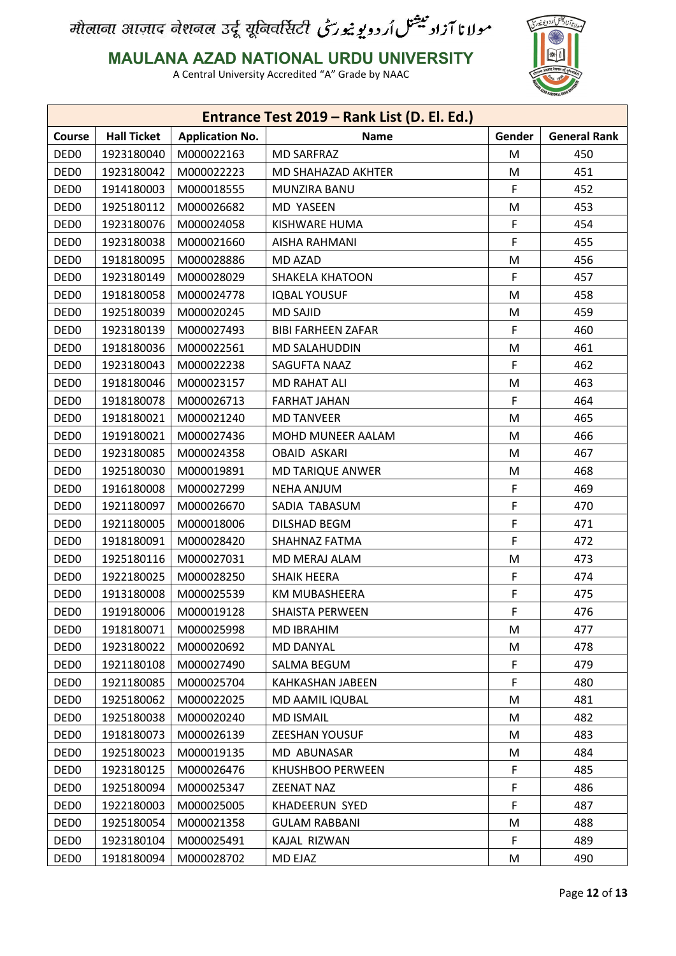

**MAULANA AZAD NATIONAL URDU UNIVERSITY**

|                  |                    |                        | Entrance Test 2019 - Rank List (D. El. Ed.) |        |                     |
|------------------|--------------------|------------------------|---------------------------------------------|--------|---------------------|
| Course           | <b>Hall Ticket</b> | <b>Application No.</b> | <b>Name</b>                                 | Gender | <b>General Rank</b> |
| DED <sub>0</sub> | 1923180040         | M000022163             | <b>MD SARFRAZ</b>                           | M      | 450                 |
| DED <sub>0</sub> | 1923180042         | M000022223             | MD SHAHAZAD AKHTER                          | M      | 451                 |
| DED <sub>0</sub> | 1914180003         | M000018555             | MUNZIRA BANU                                | F      | 452                 |
| DED <sub>0</sub> | 1925180112         | M000026682             | <b>MD YASEEN</b>                            | М      | 453                 |
| DED <sub>0</sub> | 1923180076         | M000024058             | KISHWARE HUMA                               | F      | 454                 |
| DED <sub>0</sub> | 1923180038         | M000021660             | AISHA RAHMANI                               | F      | 455                 |
| DED <sub>0</sub> | 1918180095         | M000028886             | MD AZAD                                     | M      | 456                 |
| DED <sub>0</sub> | 1923180149         | M000028029             | <b>SHAKELA KHATOON</b>                      | F      | 457                 |
| DED <sub>0</sub> | 1918180058         | M000024778             | <b>IQBAL YOUSUF</b>                         | M      | 458                 |
| DED <sub>0</sub> | 1925180039         | M000020245             | <b>MD SAJID</b>                             | M      | 459                 |
| DED <sub>0</sub> | 1923180139         | M000027493             | <b>BIBI FARHEEN ZAFAR</b>                   | F      | 460                 |
| DED <sub>0</sub> | 1918180036         | M000022561             | <b>MD SALAHUDDIN</b>                        | М      | 461                 |
| DED <sub>0</sub> | 1923180043         | M000022238             | SAGUFTA NAAZ                                | F      | 462                 |
| DED <sub>0</sub> | 1918180046         | M000023157             | <b>MD RAHAT ALI</b>                         | М      | 463                 |
| DED <sub>0</sub> | 1918180078         | M000026713             | <b>FARHAT JAHAN</b>                         | F      | 464                 |
| DED <sub>0</sub> | 1918180021         | M000021240             | <b>MD TANVEER</b>                           | М      | 465                 |
| DED <sub>0</sub> | 1919180021         | M000027436             | MOHD MUNEER AALAM                           | M      | 466                 |
| DED <sub>0</sub> | 1923180085         | M000024358             | <b>OBAID ASKARI</b>                         | M      | 467                 |
| DED <sub>0</sub> | 1925180030         | M000019891             | <b>MD TARIQUE ANWER</b>                     | М      | 468                 |
| DED <sub>0</sub> | 1916180008         | M000027299             | <b>NEHA ANJUM</b>                           | F      | 469                 |
| DED <sub>0</sub> | 1921180097         | M000026670             | SADIA TABASUM                               | F      | 470                 |
| DED <sub>0</sub> | 1921180005         | M000018006             | <b>DILSHAD BEGM</b>                         | F      | 471                 |
| DED <sub>0</sub> | 1918180091         | M000028420             | SHAHNAZ FATMA                               | F      | 472                 |
| DED <sub>0</sub> | 1925180116         | M000027031             | MD MERAJ ALAM                               | M      | 473                 |
| DED <sub>0</sub> | 1922180025         | M000028250             | <b>SHAIK HEERA</b>                          | F      | 474                 |
| DED <sub>0</sub> | 1913180008         | M000025539             | <b>KM MUBASHEERA</b>                        | F      | 475                 |
| DED <sub>0</sub> | 1919180006         | M000019128             | <b>SHAISTA PERWEEN</b>                      | F      | 476                 |
| DED <sub>0</sub> | 1918180071         | M000025998             | <b>MD IBRAHIM</b>                           | М      | 477                 |
| DED <sub>0</sub> | 1923180022         | M000020692             | MD DANYAL                                   | M      | 478                 |
| DED <sub>0</sub> | 1921180108         | M000027490             | SALMA BEGUM                                 | F      | 479                 |
| DED <sub>0</sub> | 1921180085         | M000025704             | KAHKASHAN JABEEN                            | F      | 480                 |
| DED <sub>0</sub> | 1925180062         | M000022025             | MD AAMIL IQUBAL                             | M      | 481                 |
| DED <sub>0</sub> | 1925180038         | M000020240             | <b>MD ISMAIL</b>                            | M      | 482                 |
| DED <sub>0</sub> | 1918180073         | M000026139             | ZEESHAN YOUSUF                              | M      | 483                 |
| DED <sub>0</sub> | 1925180023         | M000019135             | MD ABUNASAR                                 | M      | 484                 |
| DED <sub>0</sub> | 1923180125         | M000026476             | KHUSHBOO PERWEEN                            | F.     | 485                 |
| DED <sub>0</sub> | 1925180094         | M000025347             | <b>ZEENAT NAZ</b>                           | F      | 486                 |
| DED <sub>0</sub> | 1922180003         | M000025005             | KHADEERUN SYED                              | F      | 487                 |
| DED <sub>0</sub> | 1925180054         | M000021358             | <b>GULAM RABBANI</b>                        | M      | 488                 |
| DED <sub>0</sub> | 1923180104         | M000025491             | KAJAL RIZWAN                                | F      | 489                 |
| DED <sub>0</sub> | 1918180094         | M000028702             | MD EJAZ                                     | M      | 490                 |